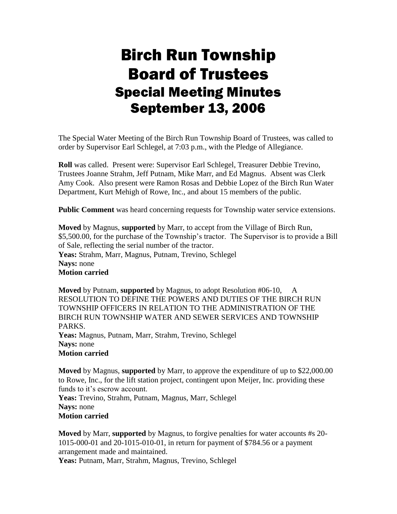## Birch Run Township Board of Trustees Special Meeting Minutes September 13, 2006

The Special Water Meeting of the Birch Run Township Board of Trustees, was called to order by Supervisor Earl Schlegel, at 7:03 p.m., with the Pledge of Allegiance.

**Roll** was called. Present were: Supervisor Earl Schlegel, Treasurer Debbie Trevino, Trustees Joanne Strahm, Jeff Putnam, Mike Marr, and Ed Magnus. Absent was Clerk Amy Cook. Also present were Ramon Rosas and Debbie Lopez of the Birch Run Water Department, Kurt Mehigh of Rowe, Inc., and about 15 members of the public.

**Public Comment** was heard concerning requests for Township water service extensions.

**Moved** by Magnus, **supported** by Marr, to accept from the Village of Birch Run, \$5,500.00, for the purchase of the Township's tractor. The Supervisor is to provide a Bill of Sale, reflecting the serial number of the tractor. **Yeas:** Strahm, Marr, Magnus, Putnam, Trevino, Schlegel **Nays:** none **Motion carried**

**Moved** by Putnam, **supported** by Magnus, to adopt Resolution #06-10, A RESOLUTION TO DEFINE THE POWERS AND DUTIES OF THE BIRCH RUN TOWNSHIP OFFICERS IN RELATION TO THE ADMINISTRATION OF THE BIRCH RUN TOWNSHIP WATER AND SEWER SERVICES AND TOWNSHIP PARKS. **Yeas:** Magnus, Putnam, Marr, Strahm, Trevino, Schlegel **Nays:** none **Motion carried**

**Moved** by Magnus, **supported** by Marr, to approve the expenditure of up to \$22,000.00 to Rowe, Inc., for the lift station project, contingent upon Meijer, Inc. providing these funds to it's escrow account.

**Yeas:** Trevino, Strahm, Putnam, Magnus, Marr, Schlegel **Nays:** none **Motion carried**

**Moved** by Marr, **supported** by Magnus, to forgive penalties for water accounts #s 20- 1015-000-01 and 20-1015-010-01, in return for payment of \$784.56 or a payment arrangement made and maintained.

Yeas: Putnam, Marr, Strahm, Magnus, Trevino, Schlegel